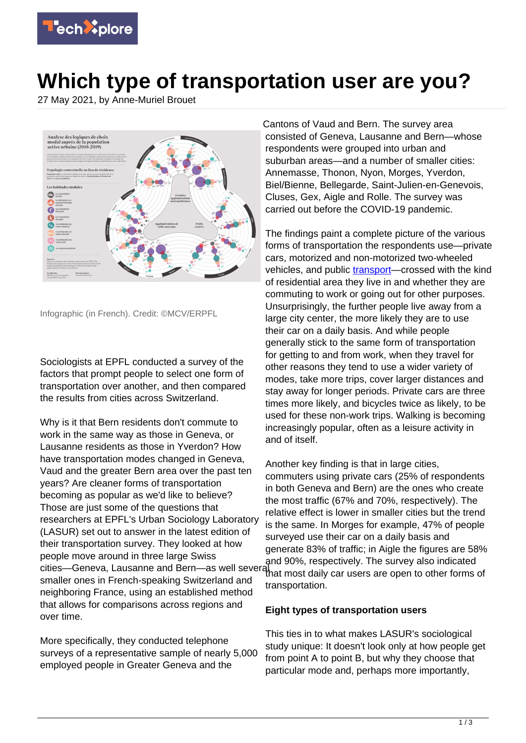

# **Which type of transportation user are you?**

27 May 2021, by Anne-Muriel Brouet



Infographic (in French). Credit: ©MCV/ERPFL

Sociologists at EPFL conducted a survey of the factors that prompt people to select one form of transportation over another, and then compared the results from cities across Switzerland.

Why is it that Bern residents don't commute to work in the same way as those in Geneva, or Lausanne residents as those in Yverdon? How have transportation modes changed in Geneva, Vaud and the greater Bern area over the past ten years? Are cleaner forms of transportation becoming as popular as we'd like to believe? Those are just some of the questions that researchers at EPFL's Urban Sociology Laboratory (LASUR) set out to answer in the latest edition of their transportation survey. They looked at how people move around in three large Swiss cities—Geneva, Lausanne and Bern—as well several and 90%, respectively. The survey also indicated smaller ones in French-speaking Switzerland and neighboring France, using an established method that allows for comparisons across regions and over time.

More specifically, they conducted telephone surveys of a representative sample of nearly 5,000 employed people in Greater Geneva and the

Cantons of Vaud and Bern. The survey area consisted of Geneva, Lausanne and Bern—whose respondents were grouped into urban and suburban areas—and a number of smaller cities: Annemasse, Thonon, Nyon, Morges, Yverdon, Biel/Bienne, Bellegarde, Saint-Julien-en-Genevois, Cluses, Gex, Aigle and Rolle. The survey was carried out before the COVID-19 pandemic.

The findings paint a complete picture of the various forms of transportation the respondents use—private cars, motorized and non-motorized two-wheeled vehicles, and public [transport—](https://techxplore.com/tags/transport/)crossed with the kind of residential area they live in and whether they are commuting to work or going out for other purposes. Unsurprisingly, the further people live away from a large city center, the more likely they are to use their car on a daily basis. And while people generally stick to the same form of transportation for getting to and from work, when they travel for other reasons they tend to use a wider variety of modes, take more trips, cover larger distances and stay away for longer periods. Private cars are three times more likely, and bicycles twice as likely, to be used for these non-work trips. Walking is becoming increasingly popular, often as a leisure activity in and of itself.

Another key finding is that in large cities, commuters using private cars (25% of respondents in both Geneva and Bern) are the ones who create the most traffic (67% and 70%, respectively). The relative effect is lower in smaller cities but the trend is the same. In Morges for example, 47% of people surveyed use their car on a daily basis and generate 83% of traffic; in Aigle the figures are 58% that most daily car users are open to other forms of transportation.

#### **Eight types of transportation users**

This ties in to what makes LASUR's sociological study unique: It doesn't look only at how people get from point A to point B, but why they choose that particular mode and, perhaps more importantly,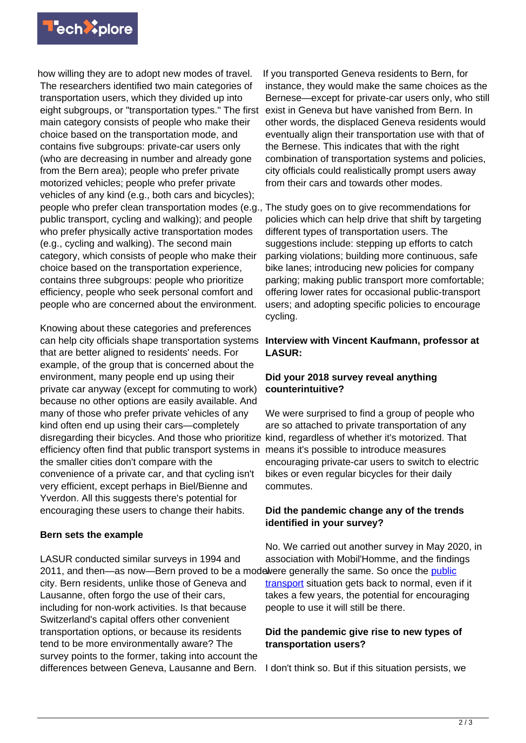

how willing they are to adopt new modes of travel. The researchers identified two main categories of transportation users, which they divided up into eight subgroups, or "transportation types." The first main category consists of people who make their choice based on the transportation mode, and contains five subgroups: private-car users only (who are decreasing in number and already gone from the Bern area); people who prefer private motorized vehicles; people who prefer private vehicles of any kind (e.g., both cars and bicycles); people who prefer clean transportation modes (e.g., public transport, cycling and walking); and people who prefer physically active transportation modes (e.g., cycling and walking). The second main category, which consists of people who make their choice based on the transportation experience, contains three subgroups: people who prioritize efficiency, people who seek personal comfort and people who are concerned about the environment.

Knowing about these categories and preferences can help city officials shape transportation systems that are better aligned to residents' needs. For example, of the group that is concerned about the environment, many people end up using their private car anyway (except for commuting to work) because no other options are easily available. And many of those who prefer private vehicles of any kind often end up using their cars—completely disregarding their bicycles. And those who prioritize kind, regardless of whether it's motorized. That efficiency often find that public transport systems in means it's possible to introduce measures the smaller cities don't compare with the convenience of a private car, and that cycling isn't very efficient, except perhaps in Biel/Bienne and Yverdon. All this suggests there's potential for encouraging these users to change their habits.

#### **Bern sets the example**

LASUR conducted similar surveys in 1994 and 2011, and then—as now—Bern proved to be a modelvere generally the same. So once the **public** city. Bern residents, unlike those of Geneva and Lausanne, often forgo the use of their cars, including for non-work activities. Is that because Switzerland's capital offers other convenient transportation options, or because its residents tend to be more environmentally aware? The survey points to the former, taking into account the differences between Geneva, Lausanne and Bern.

If you transported Geneva residents to Bern, for instance, they would make the same choices as the Bernese—except for private-car users only, who still exist in Geneva but have vanished from Bern. In other words, the displaced Geneva residents would eventually align their transportation use with that of the Bernese. This indicates that with the right combination of transportation systems and policies, city officials could realistically prompt users away from their cars and towards other modes.

The study goes on to give recommendations for policies which can help drive that shift by targeting different types of transportation users. The suggestions include: stepping up efforts to catch parking violations; building more continuous, safe bike lanes; introducing new policies for company parking; making public transport more comfortable; offering lower rates for occasional public-transport users; and adopting specific policies to encourage cycling.

#### **Interview with Vincent Kaufmann, professor at LASUR:**

## **Did your 2018 survey reveal anything counterintuitive?**

We were surprised to find a group of people who are so attached to private transportation of any encouraging private-car users to switch to electric bikes or even regular bicycles for their daily commutes.

## **Did the pandemic change any of the trends identified in your survey?**

No. We carried out another survey in May 2020, in association with Mobil'Homme, and the findings [transport](https://techxplore.com/tags/public+transport/) situation gets back to normal, even if it takes a few years, the potential for encouraging people to use it will still be there.

## **Did the pandemic give rise to new types of transportation users?**

I don't think so. But if this situation persists, we